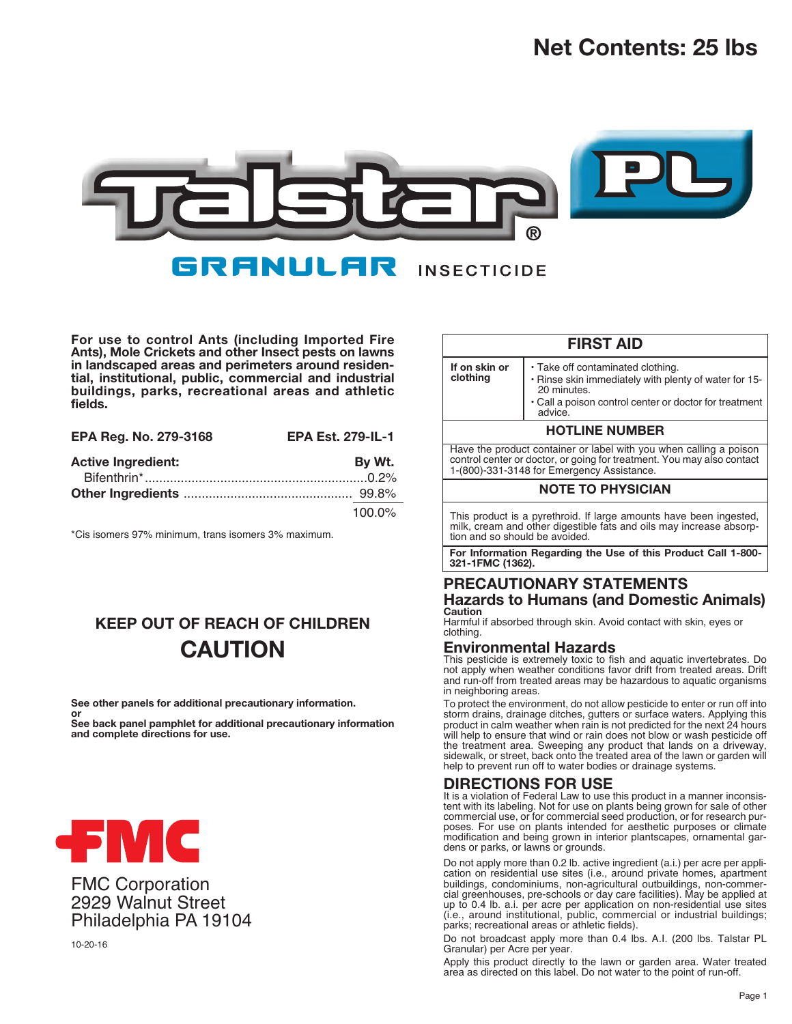# **Net Contents: 25 lbs**



**For use to control Ants (including Imported Fire Ants), Mole Crickets and other Insect pests on lawns in landscaped areas and perimeters around residential, institutional, public, commercial and industrial buildings, parks, recreational areas and athletic fields.**

| EPA Reg. No. 279-3168     | <b>EPA Est. 279-IL-1</b> |
|---------------------------|--------------------------|
| <b>Active Ingredient:</b> | By Wt.                   |
|                           |                          |
|                           |                          |
|                           | 100.0%                   |

\*Cis isomers 97% minimum, trans isomers 3% maximum.

## **KEEP OUT OF REACH OF CHILDREN CAUTION**

**See other panels for additional precautionary information.**

**or See back panel pamphlet for additional precautionary information and complete directions for use.**



FMC Corporation 2929 Walnut Street Philadelphia PA 19104

10-20-16

| <b>FIRST AID</b>                                                                                                                                                                           |                                                                                                                                                                                |  |  |  |  |  |
|--------------------------------------------------------------------------------------------------------------------------------------------------------------------------------------------|--------------------------------------------------------------------------------------------------------------------------------------------------------------------------------|--|--|--|--|--|
| If on skin or<br>clothing                                                                                                                                                                  | • Take off contaminated clothing.<br>. Rinse skin immediately with plenty of water for 15-<br>20 minutes.<br>• Call a poison control center or doctor for treatment<br>advice. |  |  |  |  |  |
| <b>HOTLINE NUMBER</b>                                                                                                                                                                      |                                                                                                                                                                                |  |  |  |  |  |
| Have the product container or label with you when calling a poison<br>control center or doctor, or going for treatment. You may also contact<br>1-(800)-331-3148 for Emergency Assistance. |                                                                                                                                                                                |  |  |  |  |  |
|                                                                                                                                                                                            | <b>NOTE TO PHYSICIAN</b>                                                                                                                                                       |  |  |  |  |  |
| This product is a pyrethroid. If large amounts have been ingested,<br>milk, cream and other digestible fats and oils may increase absorp-<br>tion and so should be avoided.                |                                                                                                                                                                                |  |  |  |  |  |
| For Information Regarding the Use of this Product Call 1-800-<br>321-1FMC (1362).                                                                                                          |                                                                                                                                                                                |  |  |  |  |  |

## **Hazards to Humans (and Domestic Animals) Caution**

Harmful if absorbed through skin. Avoid contact with skin, eyes or clothing.

## **Environmental Hazards**

This pesticide is extremely toxic to fish and aquatic invertebrates. Do not apply when weather conditions favor drift from treated areas. Drift and run-off from treated areas may be hazardous to aquatic organisms in neighboring areas.

To protect the environment, do not allow pesticide to enter or run off into storm drains, drainage ditches, gutters or surface waters. Applying this product in calm weather when rain is not predicted for the next 24 hours will help to ensure that wind or rain does not blow or wash pesticide off the treatment area. Sweeping any product that lands on a driveway, sidewalk, or street, back onto the treated area of the lawn or garden will help to prevent run off to water bodies or drainage systems.

## **DIRECTIONS FOR USE**

It is a violation of Federal Law to use this product in a manner inconsistent with its labeling. Not for use on plants being grown for sale of other commercial use, or for commercial seed production, or for research purposes. For use on plants intended for aesthetic purposes or climate modification and being grown in interior plantscapes, ornamental gardens or parks, or lawns or grounds.

Do not apply more than 0.2 lb. active ingredient (a.i.) per acre per application on residential use sites (i.e., around private homes, apartment buildings, condominiums, non-agricultural outbuildings, non-commercial greenhouses, pre-schools or day care facilities). May be applied at up to 0.4 lb. a.i. per acre per application on non-residential use sites (i.e., around institutional, public, commercial or industrial buildings; parks; recreational areas or athletic fields).

Do not broadcast apply more than 0.4 lbs. A.I. (200 lbs. Talstar PL Granular) per Acre per year.

Apply this product directly to the lawn or garden area. Water treated area as directed on this label. Do not water to the point of run-off.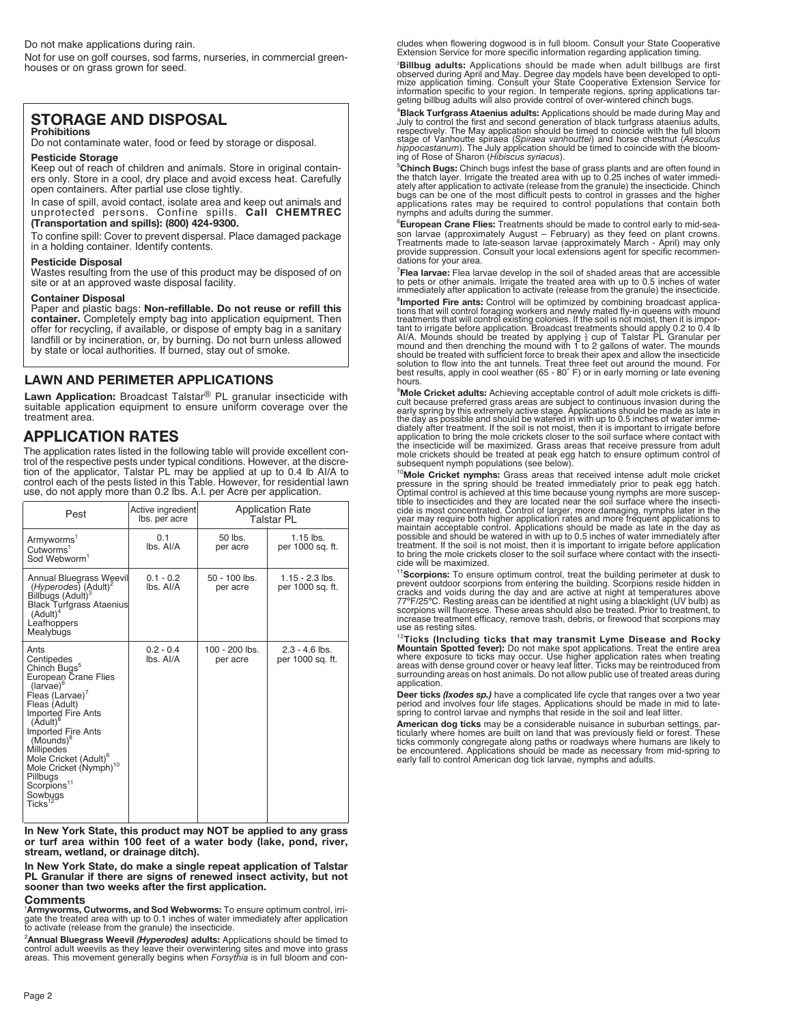Do not make applications during rain.

Not for use on golf courses, sod farms, nurseries, in commercial greenhouses or on grass grown for seed.

## **STORAGE AND DISPOSAL**

#### **Prohibitions**

Do not contaminate water, food or feed by storage or disposal.

**Pesticide Storage** Keep out of reach of children and animals. Store in original containers only. Store in a cool, dry place and avoid excess heat. Carefully open containers. After partial use close tightly.

In case of spill, avoid contact, isolate area and keep out animals and unprotected persons. Confine spills. **Call CHEMTREC (Transportation and spills): (800) 424-9300.**

To confine spill: Cover to prevent dispersal. Place damaged package in a holding container. Identify contents.

#### **Pesticide Disposal**

Wastes resulting from the use of this product may be disposed of on site or at an approved waste disposal facility.

#### **Container Disposal**

Paper and plastic bags: **Non-refillable. Do not reuse or refill this container.** Completely empty bag into application equipment. Then offer for recycling, if available, or dispose of empty bag in a sanitary landfill or by incineration, or, by burning. Do not burn unless allowed by state or local authorities. If burned, stay out of smoke.

#### **LAWN AND PERIMETER APPLICATIONS**

**Lawn Application:** Broadcast Talstar® PL granular insecticide with suitable application equipment to ensure uniform coverage over the treatment area.

## **APPLICATION RATES**

The application rates listed in the following table will provide excellent control of the respective pests under typical conditions. However, at the discre-<br>tion of the applicator, Talstar PL may be applied at up to 0.4 lb Al/A to<br>control each of the pests listed in this Table. However, for resident use, do not apply more than 0.2 lbs. A.I. per Acre per application.

| Pest                                                                                                                                                                                                                                                                                                                                                                                    | Active ingredient<br>lbs. per acre | <b>Application Rate</b><br>Talstar PL |                                       |  |
|-----------------------------------------------------------------------------------------------------------------------------------------------------------------------------------------------------------------------------------------------------------------------------------------------------------------------------------------------------------------------------------------|------------------------------------|---------------------------------------|---------------------------------------|--|
| Armyworms <sup>1</sup><br>Cutworms <sup>1</sup><br>Sod Webworm <sup>1</sup>                                                                                                                                                                                                                                                                                                             | 0.1<br>lbs. Al/A                   | 50 lbs.<br>per acre                   | $1.15$ lbs.<br>per 1000 sq. ft.       |  |
| <b>Annual Bluegrass Weevil</b><br>(Hyperodes) (Adult) <sup>2</sup><br>Billbugs (Adult) <sup>®</sup><br><b>Black Turfgrass Ataenius</b><br>(Adult) <sup>4</sup><br>Leafhoppers<br>Mealybugs                                                                                                                                                                                              | $0.1 - 0.2$<br>lbs. Al/A           | $50 - 100$ lbs.<br>per acre           | $1.15 - 2.3$ lbs.<br>per 1000 sq. ft. |  |
| Ants<br>Centipedes<br>Chinch Bugs <sup>5</sup><br>European Crane Flies<br>$(larvae)^6$<br>Fleas (Larvae)'<br>Fleas (Adult)<br>Imported Fire Ants<br>$(Adult)^c$<br><b>Imported Fire Ants</b><br>$(Mounds)^8$<br><b>Millipedes</b><br>Mole Cricket (Adult) <sup>9</sup><br>Mole Cricket (Nymph) <sup>10</sup><br>Pillbugs<br>Scorpions <sup>11</sup><br>Sowbugs<br>$Ticks$ <sup>12</sup> | $0.2 - 0.4$<br>lbs. Al/A           | 100 - 200 lbs.<br>per acre            | $2.3 - 4.6$ lbs.<br>per 1000 sq. ft.  |  |

**In New York State, this product may NOT be applied to any grass or turf area within 100 feet of a water body (lake, pond, river, stream, wetland, or drainage ditch).**

**In New York State, do make a single repeat application of Talstar PL Granular if there are signs of renewed insect activity, but not sooner than two weeks after the first application.**

#### **Comments**

'**Armyworms, Cutworms, and Sod Webworms:** To ensure optimum control, irri-<br>gate the treated area with up to 0.1 inches of water immediately after application<br>to activate (release from the granule) the insecticide.

<sup>2</sup> Annual Bluegrass Weevil *(Hyperodes) adults: Applications should be timed to*<br>control adult weevils as they leave their overwintering sites and move into grass<br>areas. This movement generally begins when *Forsythia* is

cludes when flowering dogwood is in full bloom. Consult your State Cooperative Extension Service for more specific information regarding application timing.

3 **Billbug adults:** Applications should be made when adult billbugs are first observed during April and May. Degree day models have been developed to opti-<br>mize application timing. Consult your State Cooperative Extension Service for<br>information specific to your region. In temperate regions, spring

4 **Black Turfgrass Ataenius adults:** Applications should be made during May and July to control the first and second generation of black turfgrass ataenius adults,<br>respectively. The May application should be timed to coincide with the full bloom<br>stage of Vanhoutte spiraea (Spiraea vanhouttei) and hors

5 **Chinch Bugs:** Chinch bugs infest the base of grass plants and are often found in the thatch layer. Irrigate the treated area with up to 0.25 inches of water immediately after application to activate (release from the granule) the insecticide. Chinch<br>bugs can be one of the most difficult pests to control in grasses and the higher<br>applications rates may be required to control populati nymphs and adults during the summer.

<sup>6</sup>**European Crane Flies:** Treatments should be made to control early to mid-sea-<br>son larvae (approximately August – February) as they feed on plant crowns.<br>Treatments made to late-season larvae (approximately March - Apri dations for your area.

7 **Flea larvae:** Flea larvae develop in the soil of shaded areas that are accessible to pets or other animals. Irrigate the treated area with up to 0.5 inches of water immediately after application to activate (release from the granule) the insecticide.

<sup>8</sup>**Imported Fire ants:** Control will be optimized by combining broadcast applications that will control foraging workers and newly mated fly-in queens with mound<br>treatments that will control existing colonies. If the soi hours.

<sup>9</sup>Mole Cricket adults: Achieving acceptable control of adult mole crickets is difficial<br>cult because preferred grass areas are subject to continuous invasion during the<br>early spring by this extremely active stage. Applica diately after treatment. If the soil is not moist, then it is important to irrigate before application to bring the mole crickets closer to the soil surface where contact with the insecticide will be maximized. Grass areas that receive pressure from adult mole crickets should be treated at peak egg hatch to ensure optimum control of subsequent nymph populations (see below).

<sup>10</sup>**Mole Cricket nymphs:** Grass areas that received intense adult mole cricket pressure in the spring should be treated immediately prior to peak egg hatch.<br>Optimal control is achieved at this time because young nymphs are more suscep-<br>tible to insecticides and they are located near the soil surface maintain acceptable control. Applications should be made as late in the day as<br>possible and should be watered in with up to 0.5 inches of water immediately after<br>treatment. If the soil is not moist, then it is important to to bring the mole crickets closer to the soil surface where contact with the insecti-cide will be maximized.

<sup>11</sup>Scorpions: To ensure optimum control, treat the building perimeter at dusk to<br>prevent outdoor scorpions from entering the building. Scorpions reside hidden in<br>cracks and voids during the day and are active at night at scorpions will fluoresce. These areas should also be treated. Prior to treatment, to increase treatment efficacy, remove trash, debris, or firewood that scorpions may use as resting sites.

<sup>12</sup>Ticks (Including ticks that may transmit Lyme Disease and Rocky<br>Mountain Spotted fever]: Do not make spot applications. Treat the entire area<br>where exposure to ticks may occur. Use higher application rates when treatin surrounding areas on host animals. Do not allow public use of treated areas during application.

**Deer ticks** *(Ixodes sp.)* have a complicated life cycle that ranges over a two year<br>period and involves four life stages. Applications should be made in mid to late-<br>spring to control larvae and nymphs that reside in the

**American dog ticks** may be a considerable nuisance in suburban settings, particularly where homes are built on land that was previously field or forest. These<br>ticks commonly congregate along paths or roadways where humans are likely to<br>be encountered. Applications should be made as necessary from early fall to control American dog tick larvae, nymphs and adults.